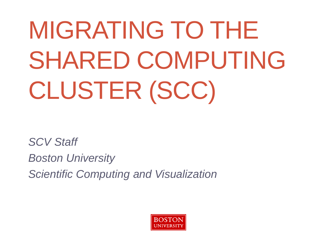# MIGRATING TO THE SHARED COMPUTING CLUSTER (SCC)

*SCV Staff Boston University Scientific Computing and Visualization*

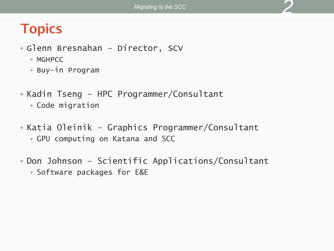# **Topics**

- Glenn Bresnahan Director, SCV
	- MGHPCC
	- Buy-in Program
- Kadin Tseng HPC Programmer/Consultant
	- Code migration
- Katia Oleinik Graphics Programmer/Consultant GPU computing on Katana and SCC
- Don Johnson Scientific Applications/Consultant Software packages for E&E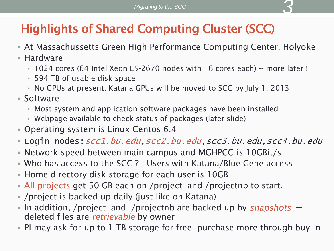# **Highlights of Shared Computing Cluster (SCC)**

- At Massachussetts Green High Performance Computing Center, Holyoke
- Hardware
	- 1024 cores (64 Intel Xeon E5-2670 nodes with 16 cores each) -- more later !
	- 594 TB of usable disk space
	- No GPUs at present. Katana GPUs will be moved to SCC by July 1, 2013
- Software
	- Most system and application software packages have been installed
	- Webpage available to check status of packages (later slide)
- Operating system is Linux Centos 6.4
- Login nodes:scc1.bu.edu,scc2.bu.edu,scc3.bu.edu,scc4.bu.edu
- Network speed between main campus and MGHPCC is 10GBit/s
- Who has access to the SCC ? Users with Katana/Blue Gene access
- **Home directory disk storage for each user is 10GB**
- All projects get 50 GB each on /project and /projectnb to start.
- /project is backed up daily (just like on Katana)
- In addition, /project and /projectnb are backed up by snapshots  $$ deleted files are *retrievable* by owner
- PI may ask for up to 1 TB storage for free; purchase more through buy-in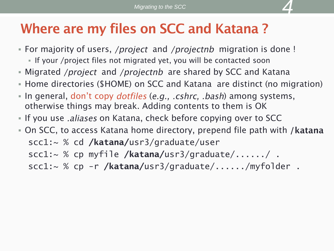# Where are my files on SCC and Katana?

- For majority of users, */project* and */projectnb* migration is done !
	- If your /project files not migrated yet, you will be contacted soon
- Migrated */project* and */projectnb* are shared by SCC and Katana
- Home directories (\$HOME) on SCC and Katana are distinct (no migration)
- In general, don't copy *dotfiles* (*e.g., .cshrc, .bash*) among systems, otherwise things may break. Adding contents to them is OK
- If you use *aliases* on Katana, check before copying over to SCC
- On SCC, to access Katana home directory, prepend file path with / **katana**  scc1:~ % cd **/katana/**usr3/graduate/user scc1:~ % cp myfile **/katana/**usr3/graduate/....../ . scc1:~ % cp -r **/katana/**usr3/graduate/....../myfolder .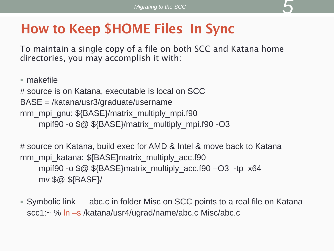# **How to Keep \$HOME Files In Sync**

To maintain a single copy of a file on both SCC and Katana home directories, you may accomplish it with:

makefile

# source is on Katana, executable is local on SCC BASE = /katana/usr3/graduate/username mm\_mpi\_gnu: \${BASE}/matrix\_multiply\_mpi.f90 mpif90 -o \$@ \${BASE}/matrix\_multiply\_mpi.f90 -O3

# source on Katana, build exec for AMD & Intel & move back to Katana mm\_mpi\_katana: \${BASE}matrix\_multiply\_acc.f90 mpif90 -o \$@ \${BASE}matrix\_multiply\_acc.f90 –O3 -tp x64 mv \$@ \${BASE}/

 Symbolic link abc.c in folder Misc on SCC points to a real file on Katana scc1:~ % ln –s /katana/usr4/ugrad/name/abc.c Misc/abc.c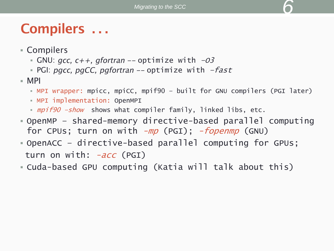# Compilers ...

- Compilers
	- GNU:  $gcc$ ,  $c++$ ,  $gfortran$  -- optimize with  $-03$
	- PGI: pgcc, pgCC, pgfortran  $-$  optimize with  $-fast$
- $-MPI$ 
	- MPI wrapper: mpicc, mpiCC, mpif90 built for GNU compilers (PGI later)
	- MPI implementation: OpenMPI
	- mpif90 -show shows what compiler family, linked libs, etc.
- OpenMP shared-memory directive-based parallel computing for CPUs; turn on with  $-mp$  (PGI);  $-fopenmp$  (GNU)
- OpenACC directive-based parallel computing for GPUs; turn on with: *-acc* (PGI)
- Cuda-based GPU computing (Katia will talk about this)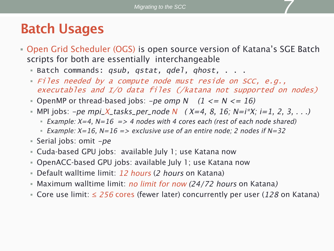#### **Batch Usages**

- Open Grid Scheduler (OGS) is open source version of Katana's SGE Batch scripts for both are essentially interchangeable
	- Batch commands: *qsub, qstat, qdel, qhost,* . . .
	- Files needed by a compute node must reside on SCC, e.g., executables and I/O data files (/katana not supported on nodes)
	- OpenMP or thread-based jobs:  $-pe$  *omp* N  $(1 \leq N \leq 16)$
	- MPI jobs: -pe mpi\_X\_tasks\_per\_node N  $(X=4, 8, 16; N=i*X; i=1, 2, 3, ...)$ 
		- Example:  $X=4$ ,  $N=16$  => 4 nodes with 4 cores each (rest of each node shared)
		- Example:  $X=16$ ,  $N=16 \Rightarrow$  exclusive use of an entire node; 2 nodes if  $N=32$
	- Serial jobs: omit  $-pe$
	- Cuda-based GPU jobs: available July 1; use Katana now
	- OpenACC-based GPU jobs: available July 1; use Katana now
	- Default walltime limit:  $12$  hours (2 hours on Katana)
	- Maximum walltime limit: *no limit for now (24/72 hours* on Katana)
	- Core use limit:  $\leq$  256 cores (fewer later) concurrently per user (128 on Katana)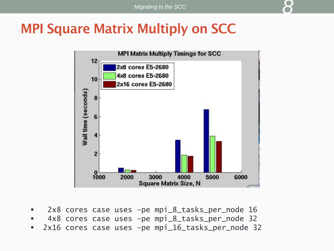#### **MPI Square Matrix Multiply on SCC**



- 2x8 cores case uses -pe mpi\_8\_tasks\_per\_node 16
- 4x8 cores case uses -pe mpi\_8\_tasks\_per\_node 32
- 2x16 cores case uses -pe mpi\_16\_tasks\_per\_node 32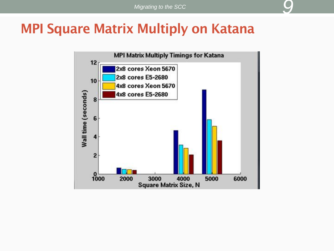*9*

#### **MPI Square Matrix Multiply on Katana**

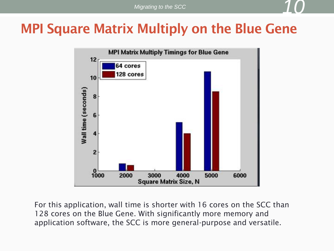#### **MPI Square Matrix Multiply on the Blue Gene**



For this application, wall time is shorter with 16 cores on the SCC than 128 cores on the Blue Gene. With significantly more memory and application software, the SCC is more general-purpose and versatile.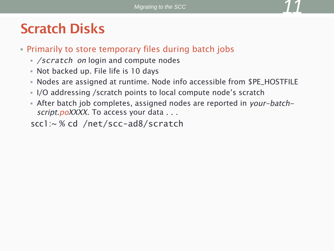# **Scratch Disks**

- Primarily to store temporary files during batch jobs
	- */scratch on* login and compute nodes
	- Not backed up. File life is 10 days
	- Nodes are assigned at runtime. Node info accessible from \$PE\_HOSTFILE
	- I/O addressing / scratch points to local compute node's scratch
	- After batch job completes, assigned nodes are reported in your-batchscript.poXXXX. To access your data . . .

scc1:~ % cd /net/scc-ad8/scratch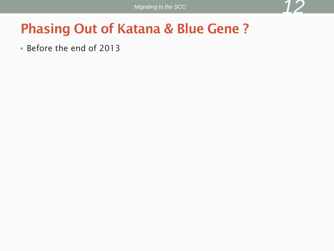#### **Phasing Out of Katana & Blue Gene?**

Before the end of 2013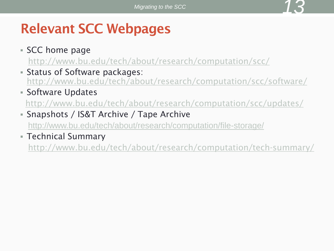# **Relevant SCC Webpages**

- SCC home page
	- <http://www.bu.edu/tech/about/research/computation/scc/>
- Status of Software packages: <http://www.bu.edu/tech/about/research/computation/scc/software/>
- **Software Updates**

<http://www.bu.edu/tech/about/research/computation/scc/updates/>

Snapshots / IS&T Archive / Tape Archive

<http://www.bu.edu/tech/about/research/computation/file-storage/>

Technical Summary

<http://www.bu.edu/tech/about/research/computation/tech-summary/>